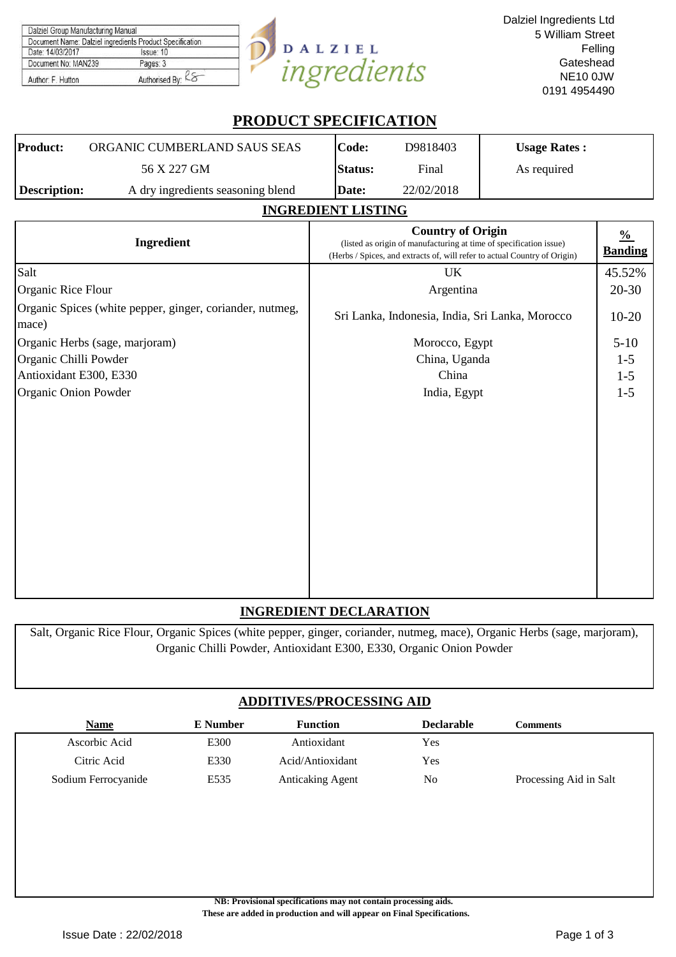| Dalziel Group Manufacturing Manual                       |                   |            |
|----------------------------------------------------------|-------------------|------------|
| Document Name: Dalziel ingredients Product Specification |                   |            |
| Date: 14/03/2017                                         | Issue: 10         | DALZIEL    |
| Document No: MAN239                                      | Pages: 3          |            |
| Author: F. Hutton                                        | Authorised By: Ko | norealents |

# **PRODUCT SPECIFICATION**

| Product:     | ORGANIC CUMBERLAND SAUS SEAS      | Code:           | D9818403   | <b>Usage Rates:</b> |
|--------------|-----------------------------------|-----------------|------------|---------------------|
|              | 56 X 227 GM                       | <b>IStatus:</b> | Final      | As required         |
| Description: | A dry ingredients seasoning blend | Date:           | 22/02/2018 |                     |

## **INGREDIENT LISTING**

| Ingredient                                                        | <b>Country of Origin</b><br>(listed as origin of manufacturing at time of specification issue)<br>(Herbs / Spices, and extracts of, will refer to actual Country of Origin) | $\frac{0}{0}$<br><b>Banding</b> |
|-------------------------------------------------------------------|-----------------------------------------------------------------------------------------------------------------------------------------------------------------------------|---------------------------------|
| Salt                                                              | UK                                                                                                                                                                          | 45.52%                          |
| Organic Rice Flour                                                | Argentina                                                                                                                                                                   | $20 - 30$                       |
| Organic Spices (white pepper, ginger, coriander, nutmeg,<br>mace) | Sri Lanka, Indonesia, India, Sri Lanka, Morocco                                                                                                                             | $10-20$                         |
| Organic Herbs (sage, marjoram)                                    | Morocco, Egypt                                                                                                                                                              | $5 - 10$                        |
| Organic Chilli Powder                                             | China, Uganda                                                                                                                                                               | $1 - 5$                         |
| Antioxidant E300, E330                                            | China                                                                                                                                                                       | $1 - 5$                         |
| Organic Onion Powder                                              | India, Egypt                                                                                                                                                                | $1 - 5$                         |
|                                                                   |                                                                                                                                                                             |                                 |

# **INGREDIENT DECLARATION**

Salt, Organic Rice Flour, Organic Spices (white pepper, ginger, coriander, nutmeg, mace), Organic Herbs (sage, marjoram), Organic Chilli Powder, Antioxidant E300, E330, Organic Onion Powder

# **ADDITIVES/PROCESSING AID**

| <b>Name</b>         | E Number | <b>Function</b>         | <b>Declarable</b> | Comments               |
|---------------------|----------|-------------------------|-------------------|------------------------|
| Ascorbic Acid       | E300     | Antioxidant             | Yes               |                        |
| Citric Acid         | E330     | Acid/Antioxidant        | Yes               |                        |
| Sodium Ferrocyanide | E535     | <b>Anticaking Agent</b> | No                | Processing Aid in Salt |

**NB: Provisional specifications may not contain processing aids. These are added in production and will appear on Final Specifications.**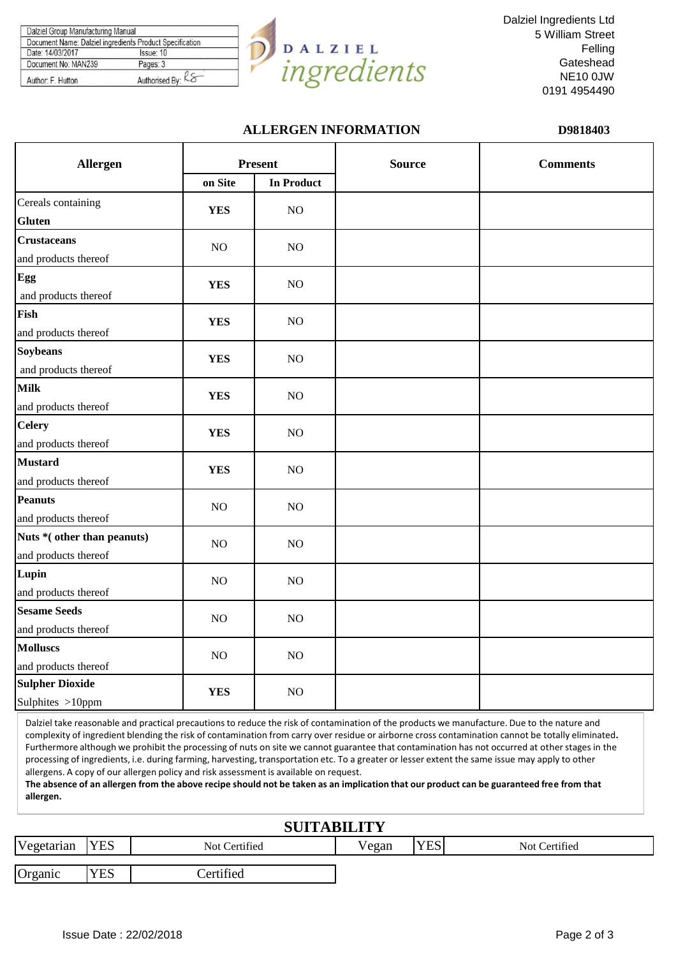| Document Name: Dalziel ingredients Product Specification |                   |
|----------------------------------------------------------|-------------------|
| Date: 14/03/2017                                         | Issue: 10         |
| Document No: MAN239                                      | Pages: 3          |
| Author: F. Hutton                                        | Authorised By: KS |



Dalziel Ingredients Ltd 5 William Street Felling **Gateshead** NE10 0JW 0191 4954490

## **ALLERGEN INFORMATION D9818403**

| <b>Allergen</b>            |            | <b>Present</b>    | <b>Source</b> | <b>Comments</b> |
|----------------------------|------------|-------------------|---------------|-----------------|
|                            | on Site    | <b>In Product</b> |               |                 |
| Cereals containing         | <b>YES</b> | NO                |               |                 |
| <b>Gluten</b>              |            |                   |               |                 |
| <b>Crustaceans</b>         | NO         | NO                |               |                 |
| and products thereof       |            |                   |               |                 |
| Egg                        | <b>YES</b> | NO                |               |                 |
| and products thereof       |            |                   |               |                 |
| Fish                       | <b>YES</b> | NO                |               |                 |
| and products thereof       |            |                   |               |                 |
| <b>Soybeans</b>            | <b>YES</b> | NO                |               |                 |
| and products thereof       |            |                   |               |                 |
| <b>Milk</b>                | <b>YES</b> | NO                |               |                 |
| and products thereof       |            |                   |               |                 |
| <b>Celery</b>              | <b>YES</b> | NO                |               |                 |
| and products thereof       |            |                   |               |                 |
| <b>Mustard</b>             | <b>YES</b> | NO                |               |                 |
| and products thereof       |            |                   |               |                 |
| <b>Peanuts</b>             | NO         | NO                |               |                 |
| and products thereof       |            |                   |               |                 |
| Nuts *(other than peanuts) | NO         | NO                |               |                 |
| and products thereof       |            |                   |               |                 |
| Lupin                      | NO         | NO                |               |                 |
| and products thereof       |            |                   |               |                 |
| <b>Sesame Seeds</b>        | NO         | NO                |               |                 |
| and products thereof       |            |                   |               |                 |
| <b>Molluscs</b>            | NO         | NO                |               |                 |
| and products thereof       |            |                   |               |                 |
| <b>Sulpher Dioxide</b>     | <b>YES</b> | NO                |               |                 |
| Sulphites >10ppm           |            |                   |               |                 |

Dalziel take reasonable and practical precautions to reduce the risk of contamination of the products we manufacture. Due to the nature and complexity of ingredient blending the risk of contamination from carry over residue or airborne cross contamination cannot be totally eliminated**.**  Furthermore although we prohibit the processing of nuts on site we cannot guarantee that contamination has not occurred at other stages in the processing of ingredients, i.e. during farming, harvesting, transportation etc. To a greater or lesser extent the same issue may apply to other allergens. A copy of our allergen policy and risk assessment is available on request.

**The absence of an allergen from the above recipe should not be taken as an implication that our product can be guaranteed free from that allergen.**

| <b>SUITABILITY</b> |            |                  |       |            |               |  |  |
|--------------------|------------|------------------|-------|------------|---------------|--|--|
| Vegetarian         | <b>YES</b> | Not Certified    | Vegan | <b>YES</b> | Not Certified |  |  |
| Organic            | <b>YES</b> | <b>Certified</b> |       |            |               |  |  |